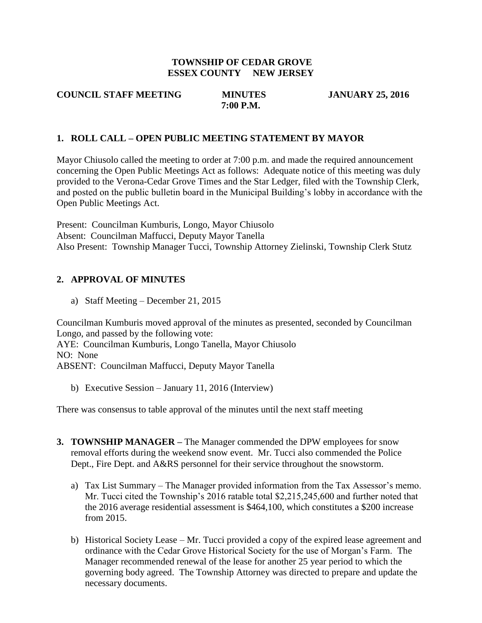### **TOWNSHIP OF CEDAR GROVE ESSEX COUNTY NEW JERSEY**

**7:00 P.M.** 

**COUNCIL STAFF MEETING MINUTES JANUARY 25, 2016**

### **1. ROLL CALL – OPEN PUBLIC MEETING STATEMENT BY MAYOR**

Mayor Chiusolo called the meeting to order at 7:00 p.m. and made the required announcement concerning the Open Public Meetings Act as follows: Adequate notice of this meeting was duly provided to the Verona-Cedar Grove Times and the Star Ledger, filed with the Township Clerk, and posted on the public bulletin board in the Municipal Building's lobby in accordance with the Open Public Meetings Act.

Present: Councilman Kumburis, Longo, Mayor Chiusolo Absent: Councilman Maffucci, Deputy Mayor Tanella Also Present: Township Manager Tucci, Township Attorney Zielinski, Township Clerk Stutz

### **2. APPROVAL OF MINUTES**

a) Staff Meeting – December 21, 2015

Councilman Kumburis moved approval of the minutes as presented, seconded by Councilman Longo, and passed by the following vote: AYE: Councilman Kumburis, Longo Tanella, Mayor Chiusolo NO: None ABSENT: Councilman Maffucci, Deputy Mayor Tanella

b) Executive Session – January 11, 2016 (Interview)

There was consensus to table approval of the minutes until the next staff meeting

- **3. TOWNSHIP MANAGER –** The Manager commended the DPW employees for snow removal efforts during the weekend snow event. Mr. Tucci also commended the Police Dept., Fire Dept. and A&RS personnel for their service throughout the snowstorm.
	- a) Tax List Summary The Manager provided information from the Tax Assessor's memo. Mr. Tucci cited the Township's 2016 ratable total \$2,215,245,600 and further noted that the 2016 average residential assessment is \$464,100, which constitutes a \$200 increase from 2015.
	- b) Historical Society Lease Mr. Tucci provided a copy of the expired lease agreement and ordinance with the Cedar Grove Historical Society for the use of Morgan's Farm. The Manager recommended renewal of the lease for another 25 year period to which the governing body agreed. The Township Attorney was directed to prepare and update the necessary documents.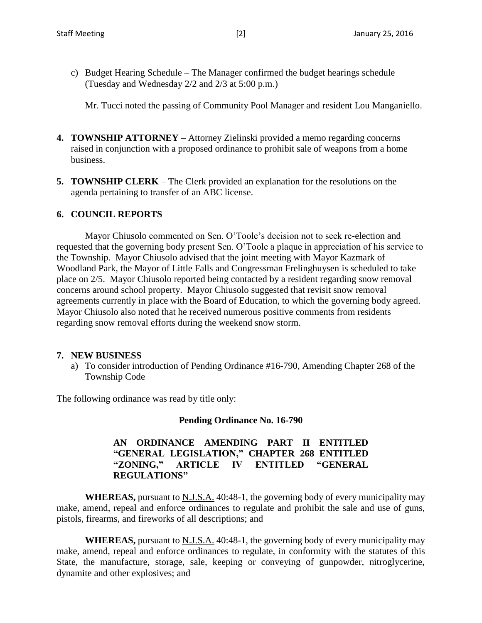c) Budget Hearing Schedule – The Manager confirmed the budget hearings schedule (Tuesday and Wednesday 2/2 and 2/3 at 5:00 p.m.)

Mr. Tucci noted the passing of Community Pool Manager and resident Lou Manganiello.

- **4. TOWNSHIP ATTORNEY** Attorney Zielinski provided a memo regarding concerns raised in conjunction with a proposed ordinance to prohibit sale of weapons from a home business.
- **5. TOWNSHIP CLERK** The Clerk provided an explanation for the resolutions on the agenda pertaining to transfer of an ABC license.

### **6. COUNCIL REPORTS**

Mayor Chiusolo commented on Sen. O'Toole's decision not to seek re-election and requested that the governing body present Sen. O'Toole a plaque in appreciation of his service to the Township. Mayor Chiusolo advised that the joint meeting with Mayor Kazmark of Woodland Park, the Mayor of Little Falls and Congressman Frelinghuysen is scheduled to take place on 2/5. Mayor Chiusolo reported being contacted by a resident regarding snow removal concerns around school property. Mayor Chiusolo suggested that revisit snow removal agreements currently in place with the Board of Education, to which the governing body agreed. Mayor Chiusolo also noted that he received numerous positive comments from residents regarding snow removal efforts during the weekend snow storm.

#### **7. NEW BUSINESS**

a) To consider introduction of Pending Ordinance #16-790, Amending Chapter 268 of the Township Code

The following ordinance was read by title only:

### **Pending Ordinance No. 16-790**

## **AN ORDINANCE AMENDING PART II ENTITLED "GENERAL LEGISLATION," CHAPTER 268 ENTITLED "ZONING," ARTICLE IV ENTITLED "GENERAL REGULATIONS"**

**WHEREAS,** pursuant to N.J.S.A. 40:48-1, the governing body of every municipality may make, amend, repeal and enforce ordinances to regulate and prohibit the sale and use of guns, pistols, firearms, and fireworks of all descriptions; and

**WHEREAS,** pursuant to N.J.S.A. 40:48-1, the governing body of every municipality may make, amend, repeal and enforce ordinances to regulate, in conformity with the statutes of this State, the manufacture, storage, sale, keeping or conveying of gunpowder, nitroglycerine, dynamite and other explosives; and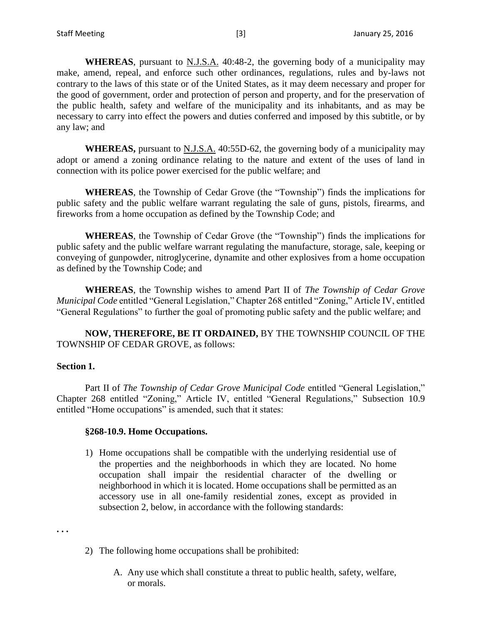**WHEREAS**, pursuant to N.J.S.A. 40:48-2, the governing body of a municipality may make, amend, repeal, and enforce such other ordinances, regulations, rules and by-laws not contrary to the laws of this state or of the United States, as it may deem necessary and proper for the good of government, order and protection of person and property, and for the preservation of the public health, safety and welfare of the municipality and its inhabitants, and as may be necessary to carry into effect the powers and duties conferred and imposed by this subtitle, or by any law; and

**WHEREAS,** pursuant to N.J.S.A. 40:55D-62, the governing body of a municipality may adopt or amend a zoning ordinance relating to the nature and extent of the uses of land in connection with its police power exercised for the public welfare; and

**WHEREAS**, the Township of Cedar Grove (the "Township") finds the implications for public safety and the public welfare warrant regulating the sale of guns, pistols, firearms, and fireworks from a home occupation as defined by the Township Code; and

**WHEREAS**, the Township of Cedar Grove (the "Township") finds the implications for public safety and the public welfare warrant regulating the manufacture, storage, sale, keeping or conveying of gunpowder, nitroglycerine, dynamite and other explosives from a home occupation as defined by the Township Code; and

**WHEREAS**, the Township wishes to amend Part II of *The Township of Cedar Grove Municipal Code* entitled "General Legislation," Chapter 268 entitled "Zoning," Article IV, entitled "General Regulations" to further the goal of promoting public safety and the public welfare; and

**NOW, THEREFORE, BE IT ORDAINED,** BY THE TOWNSHIP COUNCIL OF THE TOWNSHIP OF CEDAR GROVE, as follows:

#### **Section 1.**

Part II of *The Township of Cedar Grove Municipal Code* entitled "General Legislation," Chapter 268 entitled "Zoning," Article IV, entitled "General Regulations," Subsection 10.9 entitled "Home occupations" is amended, such that it states:

### **§268-10.9. Home Occupations.**

1) Home occupations shall be compatible with the underlying residential use of the properties and the neighborhoods in which they are located. No home occupation shall impair the residential character of the dwelling or neighborhood in which it is located. Home occupations shall be permitted as an accessory use in all one-family residential zones, except as provided in subsection 2, below, in accordance with the following standards:

**. . .**

- 2) The following home occupations shall be prohibited:
	- A. Any use which shall constitute a threat to public health, safety, welfare, or morals.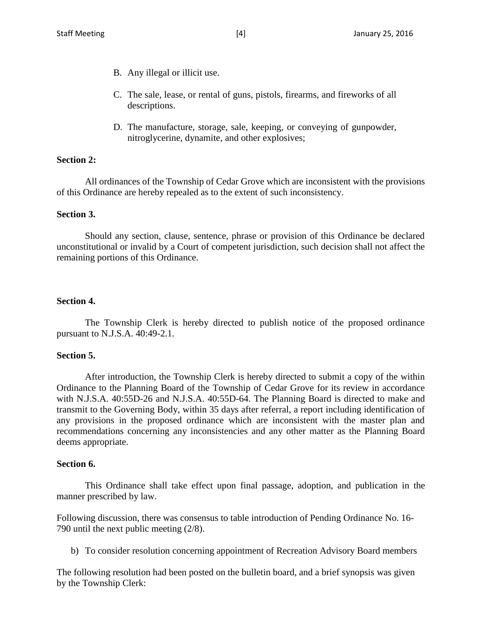- B. Any illegal or illicit use.
- C. The sale, lease, or rental of guns, pistols, firearms, and fireworks of all descriptions.
- D. The manufacture, storage, sale, keeping, or conveying of gunpowder, nitroglycerine, dynamite, and other explosives;

### **Section 2:**

All ordinances of the Township of Cedar Grove which are inconsistent with the provisions of this Ordinance are hereby repealed as to the extent of such inconsistency.

#### **Section 3.**

Should any section, clause, sentence, phrase or provision of this Ordinance be declared unconstitutional or invalid by a Court of competent jurisdiction, such decision shall not affect the remaining portions of this Ordinance.

### **Section 4.**

The Township Clerk is hereby directed to publish notice of the proposed ordinance pursuant to N.J.S.A. 40:49-2.1.

#### **Section 5.**

After introduction, the Township Clerk is hereby directed to submit a copy of the within Ordinance to the Planning Board of the Township of Cedar Grove for its review in accordance with N.J.S.A. 40:55D-26 and N.J.S.A. 40:55D-64. The Planning Board is directed to make and transmit to the Governing Body, within 35 days after referral, a report including identification of any provisions in the proposed ordinance which are inconsistent with the master plan and recommendations concerning any inconsistencies and any other matter as the Planning Board deems appropriate.

### **Section 6.**

This Ordinance shall take effect upon final passage, adoption, and publication in the manner prescribed by law.

Following discussion, there was consensus to table introduction of Pending Ordinance No. 16- 790 until the next public meeting (2/8).

b) To consider resolution concerning appointment of Recreation Advisory Board members

The following resolution had been posted on the bulletin board, and a brief synopsis was given by the Township Clerk: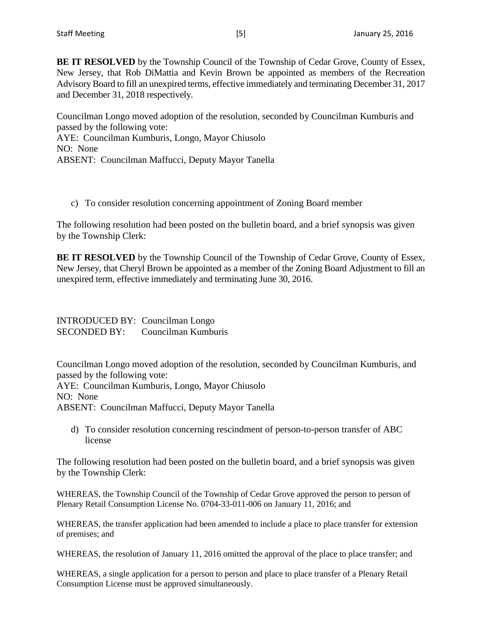**BE IT RESOLVED** by the Township Council of the Township of Cedar Grove, County of Essex, New Jersey, that Rob DiMattia and Kevin Brown be appointed as members of the Recreation Advisory Board to fill an unexpired terms, effective immediately and terminating December 31, 2017 and December 31, 2018 respectively.

Councilman Longo moved adoption of the resolution, seconded by Councilman Kumburis and passed by the following vote: AYE: Councilman Kumburis, Longo, Mayor Chiusolo NO: None ABSENT: Councilman Maffucci, Deputy Mayor Tanella

c) To consider resolution concerning appointment of Zoning Board member

The following resolution had been posted on the bulletin board, and a brief synopsis was given by the Township Clerk:

**BE IT RESOLVED** by the Township Council of the Township of Cedar Grove, County of Essex, New Jersey, that Cheryl Brown be appointed as a member of the Zoning Board Adjustment to fill an unexpired term, effective immediately and terminating June 30, 2016.

INTRODUCED BY: Councilman Longo SECONDED BY: Councilman Kumburis

Councilman Longo moved adoption of the resolution, seconded by Councilman Kumburis, and passed by the following vote: AYE: Councilman Kumburis, Longo, Mayor Chiusolo NO: None ABSENT: Councilman Maffucci, Deputy Mayor Tanella

d) To consider resolution concerning rescindment of person-to-person transfer of ABC license

The following resolution had been posted on the bulletin board, and a brief synopsis was given by the Township Clerk:

WHEREAS, the Township Council of the Township of Cedar Grove approved the person to person of Plenary Retail Consumption License No. 0704-33-011-006 on January 11, 2016; and

WHEREAS, the transfer application had been amended to include a place to place transfer for extension of premises; and

WHEREAS, the resolution of January 11, 2016 omitted the approval of the place to place transfer; and

WHEREAS, a single application for a person to person and place to place transfer of a Plenary Retail Consumption License must be approved simultaneously.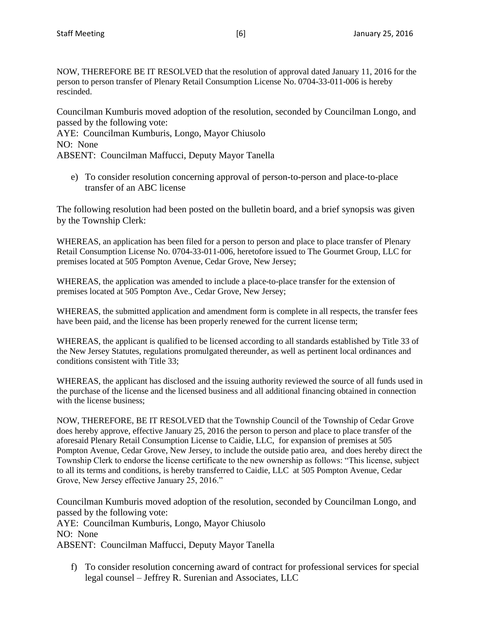NOW, THEREFORE BE IT RESOLVED that the resolution of approval dated January 11, 2016 for the person to person transfer of Plenary Retail Consumption License No. 0704-33-011-006 is hereby rescinded.

Councilman Kumburis moved adoption of the resolution, seconded by Councilman Longo, and passed by the following vote:

AYE: Councilman Kumburis, Longo, Mayor Chiusolo NO: None ABSENT: Councilman Maffucci, Deputy Mayor Tanella

e) To consider resolution concerning approval of person-to-person and place-to-place transfer of an ABC license

The following resolution had been posted on the bulletin board, and a brief synopsis was given by the Township Clerk:

WHEREAS, an application has been filed for a person to person and place to place transfer of Plenary Retail Consumption License No. 0704-33-011-006, heretofore issued to The Gourmet Group, LLC for premises located at 505 Pompton Avenue, Cedar Grove, New Jersey;

WHEREAS, the application was amended to include a place-to-place transfer for the extension of premises located at 505 Pompton Ave., Cedar Grove, New Jersey;

WHEREAS, the submitted application and amendment form is complete in all respects, the transfer fees have been paid, and the license has been properly renewed for the current license term;

WHEREAS, the applicant is qualified to be licensed according to all standards established by Title 33 of the New Jersey Statutes, regulations promulgated thereunder, as well as pertinent local ordinances and conditions consistent with Title 33;

WHEREAS, the applicant has disclosed and the issuing authority reviewed the source of all funds used in the purchase of the license and the licensed business and all additional financing obtained in connection with the license business;

NOW, THEREFORE, BE IT RESOLVED that the Township Council of the Township of Cedar Grove does hereby approve, effective January 25, 2016 the person to person and place to place transfer of the aforesaid Plenary Retail Consumption License to Caidie, LLC, for expansion of premises at 505 Pompton Avenue, Cedar Grove, New Jersey, to include the outside patio area, and does hereby direct the Township Clerk to endorse the license certificate to the new ownership as follows: "This license, subject to all its terms and conditions, is hereby transferred to Caidie, LLC at 505 Pompton Avenue, Cedar Grove, New Jersey effective January 25, 2016."

Councilman Kumburis moved adoption of the resolution, seconded by Councilman Longo, and passed by the following vote:

AYE: Councilman Kumburis, Longo, Mayor Chiusolo NO: None

ABSENT: Councilman Maffucci, Deputy Mayor Tanella

f) To consider resolution concerning award of contract for professional services for special legal counsel – Jeffrey R. Surenian and Associates, LLC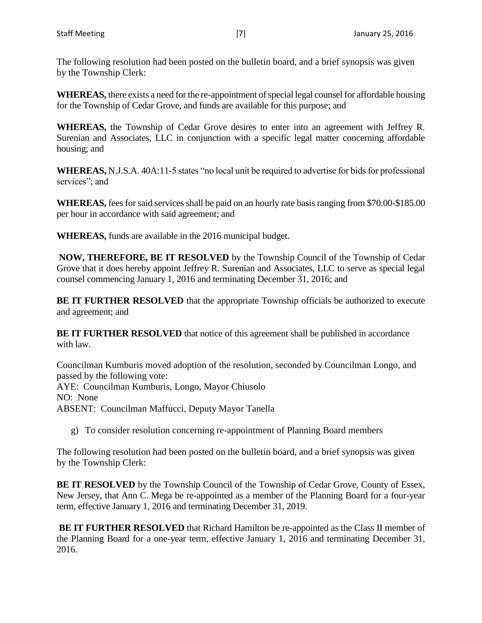The following resolution had been posted on the bulletin board, and a brief synopsis was given by the Township Clerk:

**WHEREAS,** there exists a need for the re-appointment of special legal counsel for affordable housing for the Township of Cedar Grove, and funds are available for this purpose; and

**WHEREAS,** the Township of Cedar Grove desires to enter into an agreement with Jeffrey R. Surenian and Associates, LLC in conjunction with a specific legal matter concerning affordable housing; and

**WHEREAS,** N.J.S.A. 40A:11-5 states "no local unit be required to advertise for bids for professional services"; and

**WHEREAS,** fees for said services shall be paid on an hourly rate basis ranging from \$70.00-\$185.00 per hour in accordance with said agreement; and

**WHEREAS,** funds are available in the 2016 municipal budget.

**NOW, THEREFORE, BE IT RESOLVED** by the Township Council of the Township of Cedar Grove that it does hereby appoint Jeffrey R. Surenian and Associates, LLC to serve as special legal counsel commencing January 1, 2016 and terminating December 31, 2016; and

**BE IT FURTHER RESOLVED** that the appropriate Township officials be authorized to execute and agreement; and

**BE IT FURTHER RESOLVED** that notice of this agreement shall be published in accordance with law.

Councilman Kumburis moved adoption of the resolution, seconded by Councilman Longo, and passed by the following vote: AYE: Councilman Kumburis, Longo, Mayor Chiusolo NO: None ABSENT: Councilman Maffucci, Deputy Mayor Tanella

g) To consider resolution concerning re-appointment of Planning Board members

The following resolution had been posted on the bulletin board, and a brief synopsis was given by the Township Clerk:

**BE IT RESOLVED** by the Township Council of the Township of Cedar Grove, County of Essex, New Jersey, that Ann C. Mega be re-appointed as a member of the Planning Board for a four-year term, effective January 1, 2016 and terminating December 31, 2019.

**BE IT FURTHER RESOLVED** that Richard Hamilton be re-appointed as the Class II member of the Planning Board for a one-year term, effective January 1, 2016 and terminating December 31, 2016.